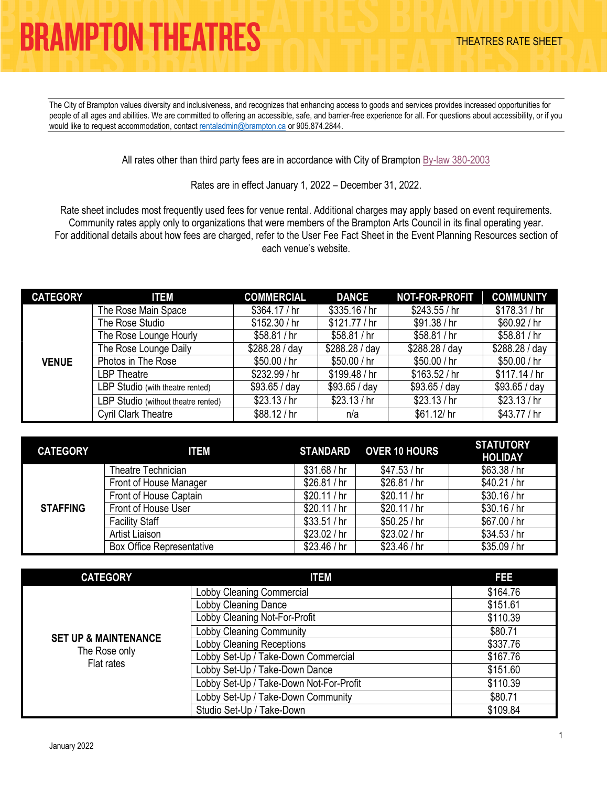The City of Brampton values diversity and inclusiveness, and recognizes that enhancing access to goods and services provides increased opportunities for people of all ages and abilities. We are committed to offering an accessible, safe, and barrier-free experience for all. For questions about accessibility, or if you would like to request accommodation, contact [rentaladmin@brampton.ca](mailto:rentaladmin@brampton.ca) or 905.874.2844.

All rates other than third party fees are in accordance with City of Brampton [By-law 380-2003](https://www.brampton.ca/EN/City-Hall/Bylaws/All%20Bylaws/User%20Fee.pdf)

Rates are in effect January 1, 2022 – December 31, 2022.

Rate sheet includes most frequently used fees for venue rental. Additional charges may apply based on event requirements. Community rates apply only to organizations that were members of the Brampton Arts Council in its final operating year. For additional details about how fees are charged, refer to the User Fee Fact Sheet in the Event Planning Resources section of each venue's website.

| <b>CATEGORY</b> | <b>ITEM</b>                         | <b>COMMERCIAL</b> | <b>DANCE</b>   | NOT-FOR-PROFIT | <b>COMMUNITY</b> |
|-----------------|-------------------------------------|-------------------|----------------|----------------|------------------|
| <b>VENUE</b>    | The Rose Main Space                 | \$364.17/hr       | \$335.16/hr    | \$243.55/hr    | \$178.31/hr      |
|                 | The Rose Studio                     | \$152.30/hr       | \$121.77/hr    | \$91.38/hr     | \$60.92/hr       |
|                 | The Rose Lounge Hourly              | \$58.81/hr        | \$58.81/hr     | \$58.81/hr     | \$58.81/hr       |
|                 | The Rose Lounge Daily               | \$288.28 / day    | \$288.28 / day | \$288.28 / day | \$288.28 / day   |
|                 | Photos in The Rose                  | \$50.00/hr        | \$50.00 / hr   | \$50.00 / hr   | \$50.00 / hr     |
|                 | LBP Theatre                         | \$232.99 / hr     | \$199.48 / hr  | \$163.52/hr    | \$117.14/hr      |
|                 | LBP Studio (with theatre rented)    | \$93.65 / day     | \$93.65 / day  | \$93.65 / day  | \$93.65 / day    |
|                 | LBP Studio (without theatre rented) | \$23.13/hr        | \$23.13/hr     | \$23.13/hr     | \$23.13/hr       |
|                 | <b>Cyril Clark Theatre</b>          | \$88.12/hr        | n/a            | \$61.12/hr     | \$43.77 / hr     |

| <b>CATEGORY</b> | <b>ITEM</b>                      | STANDARD   | <b>OVER 10 HOURS</b> | <b>STATUTORY</b><br><b>HOLIDAY</b> |
|-----------------|----------------------------------|------------|----------------------|------------------------------------|
| <b>STAFFING</b> | Theatre Technician               | \$31.68/hr | \$47.53/hr           | \$63.38/hr                         |
|                 | Front of House Manager           | \$26.81/hr | \$26.81/hr           | \$40.21/hr                         |
|                 | Front of House Captain           | \$20.11/hr | \$20.11/hr           | \$30.16/hr                         |
|                 | Front of House User              | \$20.11/hr | \$20.11/hr           | \$30.16/hr                         |
|                 | <b>Facility Staff</b>            | \$33.51/hr | \$50.25/hr           | \$67.00/hr                         |
|                 | Artist Liaison                   | \$23.02/hr | \$23.02/hr           | \$34.53/hr                         |
|                 | <b>Box Office Representative</b> | \$23.46/hr | \$23.46/hr           | \$35.09/hr                         |

| <b>CATEGORY</b>                 | <b>ITEM</b>                             | FEE      |
|---------------------------------|-----------------------------------------|----------|
|                                 | Lobby Cleaning Commercial               | \$164.76 |
|                                 | <b>Lobby Cleaning Dance</b>             | \$151.61 |
|                                 | Lobby Cleaning Not-For-Profit           | \$110.39 |
|                                 | <b>Lobby Cleaning Community</b>         | \$80.71  |
| <b>SET UP &amp; MAINTENANCE</b> | <b>Lobby Cleaning Receptions</b>        | \$337.76 |
| The Rose only<br>Flat rates     | Lobby Set-Up / Take-Down Commercial     | \$167.76 |
|                                 | Lobby Set-Up / Take-Down Dance          | \$151.60 |
|                                 | Lobby Set-Up / Take-Down Not-For-Profit | \$110.39 |
|                                 | Lobby Set-Up / Take-Down Community      | \$80.71  |
|                                 | Studio Set-Up / Take-Down               | \$109.84 |